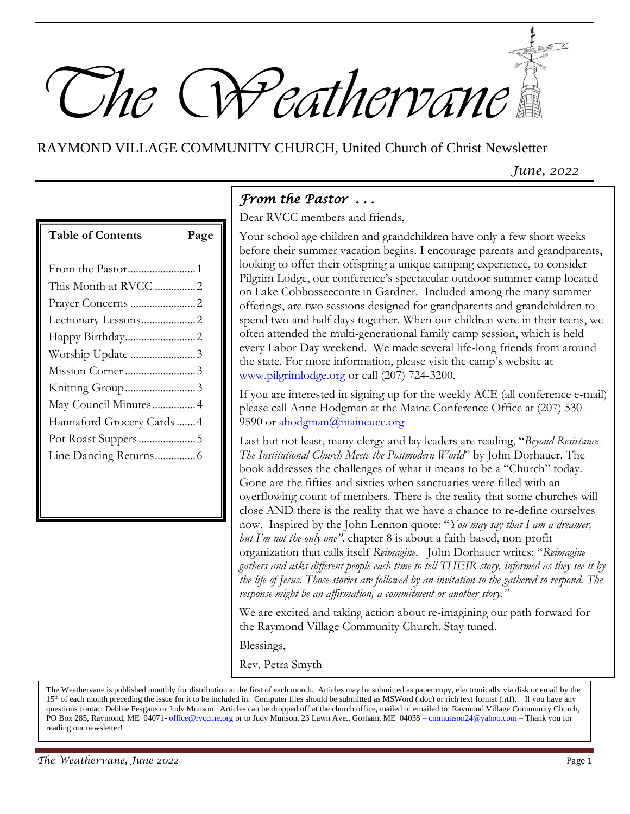

# RAYMOND VILLAGE COMMUNITY CHURCH, United Church of Christ Newsletter

*June, 2022*

| <b>Table of Contents</b>   | Page |
|----------------------------|------|
|                            |      |
| From the Pastor1           |      |
| This Month at RVCC 2       |      |
|                            |      |
|                            |      |
| Happy Birthday2            |      |
| Worship Update3            |      |
|                            |      |
| Knitting Group3            |      |
| May Council Minutes 4      |      |
| Hannaford Grocery Cards  4 |      |
|                            |      |
|                            |      |
|                            |      |

## *From the Pastor . . .*

Dear RVCC members and friends,

Your school age children and grandchildren have only a few short weeks before their summer vacation begins. I encourage parents and grandparents, looking to offer their offspring a unique camping experience, to consider Pilgrim Lodge, our conference's spectacular outdoor summer camp located on Lake Cobbosseeconte in Gardner. Included among the many summer offerings, are two sessions designed for grandparents and grandchildren to spend two and half days together. When our children were in their teens, we often attended the multi-generational family camp session, which is held every Labor Day weekend. We made several life-long friends from around the state. For more information, please visit the camp's website at [www.pilgrimlodge.org](http://www.pilgrimlodge.org/) or call (207) 724-3200.

If you are interested in signing up for the weekly ACE (all conference e-mail) please call Anne Hodgman at the Maine Conference Office at (207) 530 9590 or [ahodgman@maineucc.org](mailto:ahodgman@maineucc.org)

Last but not least, many clergy and lay leaders are reading, "*Beyond Resistance-The Institutional Church Meets the Postmodern World*" by John Dorhauer. The book addresses the challenges of what it means to be a "Church" today. Gone are the fifties and sixties when sanctuaries were filled with an overflowing count of members. There is the reality that some churches will close AND there is the reality that we have a chance to re-define ourselves now. Inspired by the John Lennon quote: "*You may say that I am a dreamer, but I'm not the only one",* chapter 8 is about a faith-based, non-profit organization that calls itself *Reimagine*. John Dorhauer writes: "*Reimagine gathers and asks different people each time to tell THEIR story, informed as they see it by the life of Jesus. Those stories are followed by an invitation to the gathered to respond. The response might be an affirmation, a commitment or another story."*

We are excited and taking action about re-imagining our path forward for the Raymond Village Community Church. Stay tuned.

Blessings,

Rev. Petra Smyth

The Weathervane is published monthly for distribution at the first of each month. Articles may be submitted as paper copy, electronically via disk or email by the 15<sup>th</sup> of each month preceding the issue for it to be included in. Computer files should be submitted as MSWord (.doc) or rich text format (.rtf). If you have any questions contact Debbie Feagans or Judy Munson. Articles can be dropped off at the church office, mailed or emailed to: Raymond Village Community Church, PO Box 285, Raymond, ME 04071- [office@rvccme.org](mailto:office@rvccme.org) or to Judy Munson, 23 Lawn Ave., Gorham, ME 04038 – [cmmunson24@yahoo.com](mailto:cmmunson24@yahoo.com) – Thank you for reading our newsletter!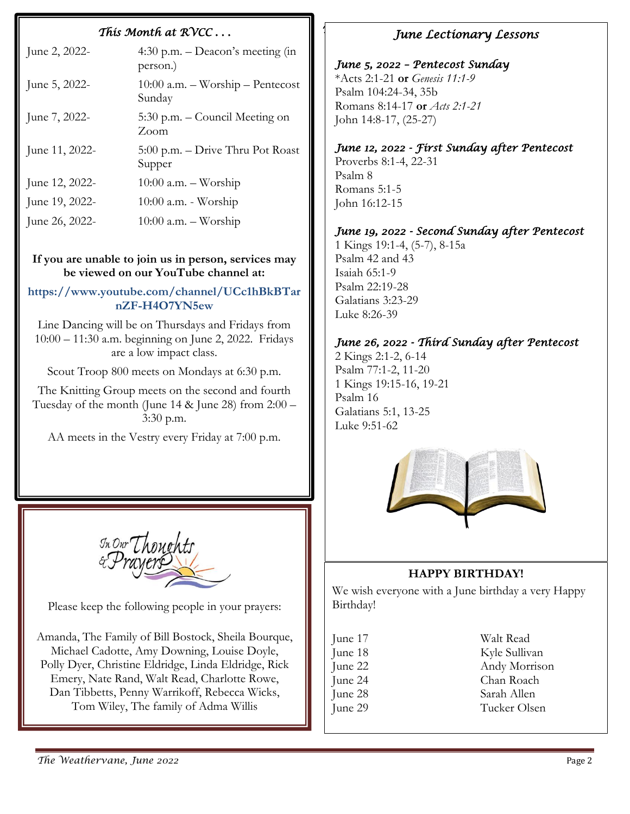#### *This Month at RVCC . . . T*

| June 2, 2022-  | 4:30 p.m. $-$ Deacon's meeting (in<br>person.)   |
|----------------|--------------------------------------------------|
| June 5, 2022-  | $10:00$ a.m. $-$ Worship $-$ Pentecost<br>Sunday |
| June 7, 2022-  | 5:30 p.m. – Council Meeting on<br>Zoom           |
| June 11, 2022- | 5:00 p.m. – Drive Thru Pot Roast<br>Supper       |
| June 12, 2022- | $10:00$ a.m. $-$ Worship                         |
| June 19, 2022- | $10:00$ a.m. - Worship                           |
| June 26, 2022- | $10:00$ a.m. $-$ Worship                         |

#### **If you are unable to join us in person, services may be viewed on our YouTube channel at:**

#### **https://www.youtube.com/channel/UCc1hBkBTar nZF-H4O7YN5ew**

Line Dancing will be on Thursdays and Fridays from 10:00 – 11:30 a.m. beginning on June 2, 2022. Fridays are a low impact class.

Scout Troop 800 meets on Mondays at 6:30 p.m.

The Knitting Group meets on the second and fourth Tuesday of the month (June 14 & June 28) from 2:00 – 3:30 p.m.

AA meets in the Vestry every Friday at 7:00 p.m.

In Our Though

Please keep the following people in your prayers:

Amanda, The Family of Bill Bostock, Sheila Bourque, Michael Cadotte, Amy Downing, Louise Doyle, Polly Dyer, Christine Eldridge, Linda Eldridge, Rick Emery, Nate Rand, Walt Read, Charlotte Rowe, Dan Tibbetts, Penny Warrikoff, Rebecca Wicks, Tom Wiley, The family of Adma Willis

#### *June Lectionary Lessons*

### *June 5, 2022 – Pentecost Sunday* [\\*Acts 2:1-21](https://lectionary.library.vanderbilt.edu/texts.php?id=141) **or** *[Genesis 11:1-9](https://lectionary.library.vanderbilt.edu/texts.php?id=141)* [Psalm 104:24-34, 35b](https://lectionary.library.vanderbilt.edu/texts.php?id=141)

[Romans 8:14-17](https://lectionary.library.vanderbilt.edu/texts.php?id=141) **or** *[Acts 2:1-21](https://lectionary.library.vanderbilt.edu/texts.php?id=141)* [John 14:8-17, \(25-27\)](https://lectionary.library.vanderbilt.edu/texts.php?id=141)

#### *June 12, 2022 - First Sunday after Pentecost*

[Proverbs 8:1-4, 22-31](https://lectionary.library.vanderbilt.edu/texts.php?id=262) [Psalm 8](https://lectionary.library.vanderbilt.edu/texts.php?id=262) [Romans 5:1-5](https://lectionary.library.vanderbilt.edu/texts.php?id=262) [John 16:12-15](https://lectionary.library.vanderbilt.edu/texts.php?id=262)

#### *June 19, 2022 - Second Sunday after Pentecost*

[1 Kings 19:1-4, \(5-7\), 8-15a](https://lectionary.library.vanderbilt.edu/texts.php?id=267) [Psalm 42 and 43](https://lectionary.library.vanderbilt.edu/texts.php?id=267) [Isaiah 65:1-9](https://lectionary.library.vanderbilt.edu/texts.php?id=267) [Psalm 22:19-28](https://lectionary.library.vanderbilt.edu/texts.php?id=267) [Galatians 3:23-29](https://lectionary.library.vanderbilt.edu/texts.php?id=267) [Luke 8:26-39](https://lectionary.library.vanderbilt.edu/texts.php?id=267)

#### *June 26, 2022 - Third Sunday after Pentecost*

[2 Kings 2:1-2, 6-14](https://lectionary.library.vanderbilt.edu/texts.php?id=268) [Psalm 77:1-2, 11-20](https://lectionary.library.vanderbilt.edu/texts.php?id=268) [1 Kings 19:15-16, 19-21](https://lectionary.library.vanderbilt.edu/texts.php?id=268) [Psalm 16](https://lectionary.library.vanderbilt.edu/texts.php?id=268) [Galatians 5:1, 13-25](https://lectionary.library.vanderbilt.edu/texts.php?id=268) [Luke 9:51-62](https://lectionary.library.vanderbilt.edu/texts.php?id=268)



#### **HAPPY BIRTHDAY!**

We wish everyone with a June birthday a very Happy Birthday!

| June 17 | Walt Read     |
|---------|---------------|
| June 18 | Kyle Sullivan |
| June 22 | Andy Morrison |
| June 24 | Chan Roach    |
| June 28 | Sarah Allen   |
| June 29 | Tucker Olsen  |
|         |               |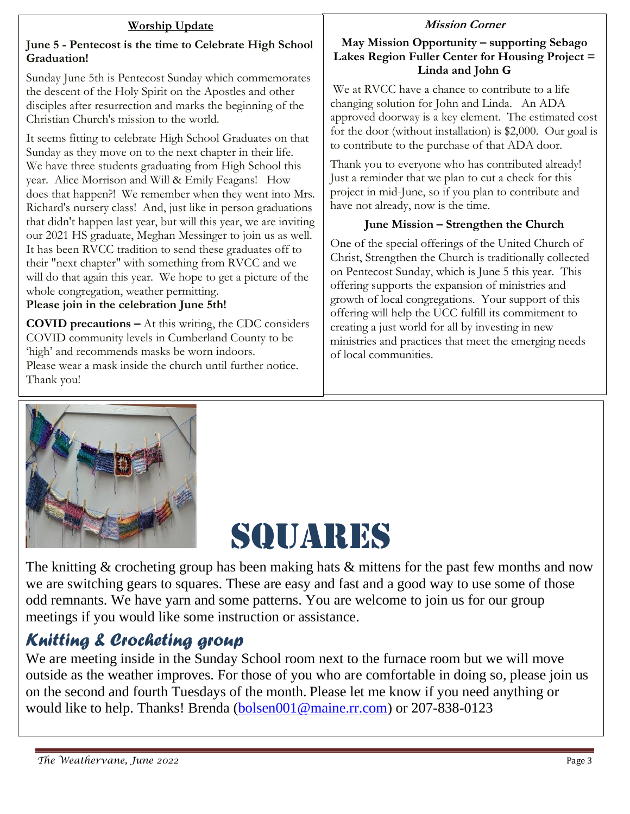#### **Worship Update**

#### **June 5 - Pentecost is the time to Celebrate High School Graduation!**

Sunday June 5th is Pentecost Sunday which commemorates the descent of the Holy Spirit on the Apostles and other disciples after resurrection and marks the beginning of the Christian Church's mission to the world.

It seems fitting to celebrate High School Graduates on that Sunday as they move on to the next chapter in their life. We have three students graduating from High School this year. Alice Morrison and Will & Emily Feagans! How does that happen?! We remember when they went into Mrs. Richard's nursery class! And, just like in person graduations that didn't happen last year, but will this year, we are inviting our 2021 HS graduate, Meghan Messinger to join us as well. It has been RVCC tradition to send these graduates off to their "next chapter" with something from RVCC and we will do that again this year. We hope to get a picture of the whole congregation, weather permitting.

#### **Please join in the celebration June 5th!**

**COVID precautions –** At this writing, the CDC considers COVID community levels in Cumberland County to be 'high' and recommends masks be worn indoors. Please wear a mask inside the church until further notice. Thank you!

#### **Mission Corner**

#### **May Mission Opportunity – supporting Sebago Lakes Region Fuller Center for Housing Project = Linda and John G**

We at RVCC have a chance to contribute to a life changing solution for John and Linda. An ADA approved doorway is a key element. The estimated cost for the door (without installation) is \$2,000. Our goal is to contribute to the purchase of that ADA door.

Thank you to everyone who has contributed already! Just a reminder that we plan to cut a check for this project in mid-June, so if you plan to contribute and have not already, now is the time.

#### **June Mission – Strengthen the Church**

One of the special offerings of the United Church of Christ, Strengthen the Church is traditionally collected on Pentecost Sunday, which is June 5 this year. This offering supports the expansion of ministries and growth of local congregations. Your support of this offering will help the UCC fulfill its commitment to creating a just world for all by investing in new ministries and practices that meet the emerging needs of local communities.



# SQUARES

The knitting & crocheting group has been making hats & mittens for the past few months and now we are switching gears to squares. These are easy and fast and a good way to use some of those odd remnants. We have yarn and some patterns. You are welcome to join us for our group meetings if you would like some instruction or assistance.

# *Knitting & Crocheting group*

We are meeting inside in the Sunday School room next to the furnace room but we will move outside as the weather improves. For those of you who are comfortable in doing so, please join us on the second and fourth Tuesdays of the month. Please let me know if you need anything or would like to help. Thanks! Brenda [\(bolsen001@maine.rr.com\)](mailto:bolsen001@maine.rr.com) or 207-838-0123

l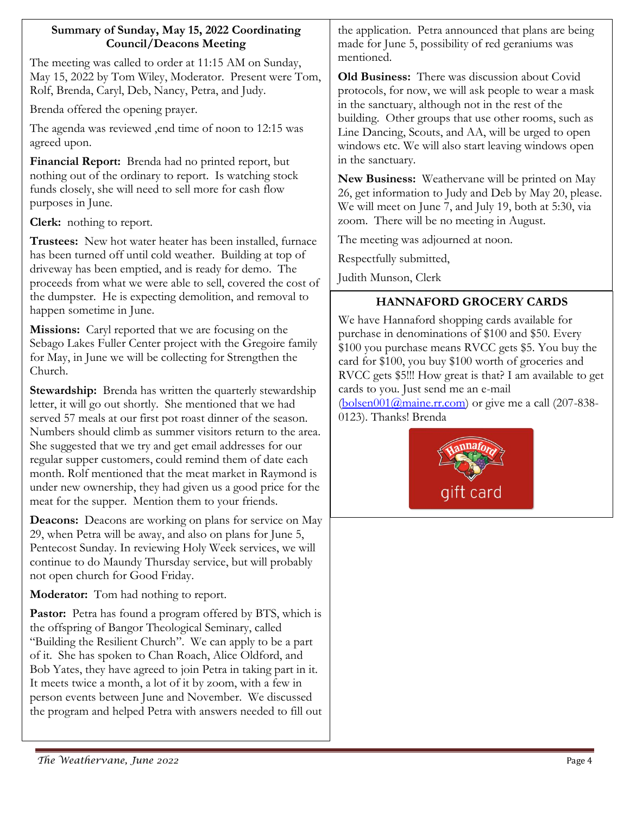#### **Summary of Sunday, May 15, 2022 Coordinating Council/Deacons Meeting**

The meeting was called to order at 11:15 AM on Sunday, May 15, 2022 by Tom Wiley, Moderator. Present were Tom, Rolf, Brenda, Caryl, Deb, Nancy, Petra, and Judy.

Brenda offered the opening prayer.

The agenda was reviewed ,end time of noon to 12:15 was agreed upon.

**Financial Report:** Brenda had no printed report, but nothing out of the ordinary to report. Is watching stock funds closely, she will need to sell more for cash flow purposes in June.

**Clerk:** nothing to report.

**Trustees:** New hot water heater has been installed, furnace has been turned off until cold weather. Building at top of driveway has been emptied, and is ready for demo. The proceeds from what we were able to sell, covered the cost of the dumpster. He is expecting demolition, and removal to happen sometime in June.

**Missions:** Caryl reported that we are focusing on the Sebago Lakes Fuller Center project with the Gregoire family for May, in June we will be collecting for Strengthen the Church.

**Stewardship:** Brenda has written the quarterly stewardship letter, it will go out shortly. She mentioned that we had served 57 meals at our first pot roast dinner of the season. Numbers should climb as summer visitors return to the area. She suggested that we try and get email addresses for our regular supper customers, could remind them of date each month. Rolf mentioned that the meat market in Raymond is under new ownership, they had given us a good price for the meat for the supper. Mention them to your friends.

**Deacons:** Deacons are working on plans for service on May 29, when Petra will be away, and also on plans for June 5, Pentecost Sunday. In reviewing Holy Week services, we will continue to do Maundy Thursday service, but will probably not open church for Good Friday.

**Moderator:** Tom had nothing to report.

Pastor: Petra has found a program offered by BTS, which is the offspring of Bangor Theological Seminary, called "Building the Resilient Church". We can apply to be a part of it. She has spoken to Chan Roach, Alice Oldford, and Bob Yates, they have agreed to join Petra in taking part in it. It meets twice a month, a lot of it by zoom, with a few in person events between June and November. We discussed the program and helped Petra with answers needed to fill out the application. Petra announced that plans are being made for June 5, possibility of red geraniums was mentioned.

**Old Business:** There was discussion about Covid protocols, for now, we will ask people to wear a mask in the sanctuary, although not in the rest of the building. Other groups that use other rooms, such as Line Dancing, Scouts, and AA, will be urged to open windows etc. We will also start leaving windows open in the sanctuary.

**New Business:** Weathervane will be printed on May 26, get information to Judy and Deb by May 20, please. We will meet on June 7, and July 19, both at 5:30, via zoom. There will be no meeting in August.

The meeting was adjourned at noon.

Respectfully submitted,

Judith Munson, Clerk

## **HANNAFORD GROCERY CARDS**

We have Hannaford shopping cards available for purchase in denominations of \$100 and \$50. Every \$100 you purchase means RVCC gets \$5. You buy the card for \$100, you buy \$100 worth of groceries and RVCC gets \$5!!! How great is that? I am available to get cards to you. Just send me an e-mail  $(bolsen001@maine.fr.com)$  or give me a call (207-838-0123). Thanks! Brenda

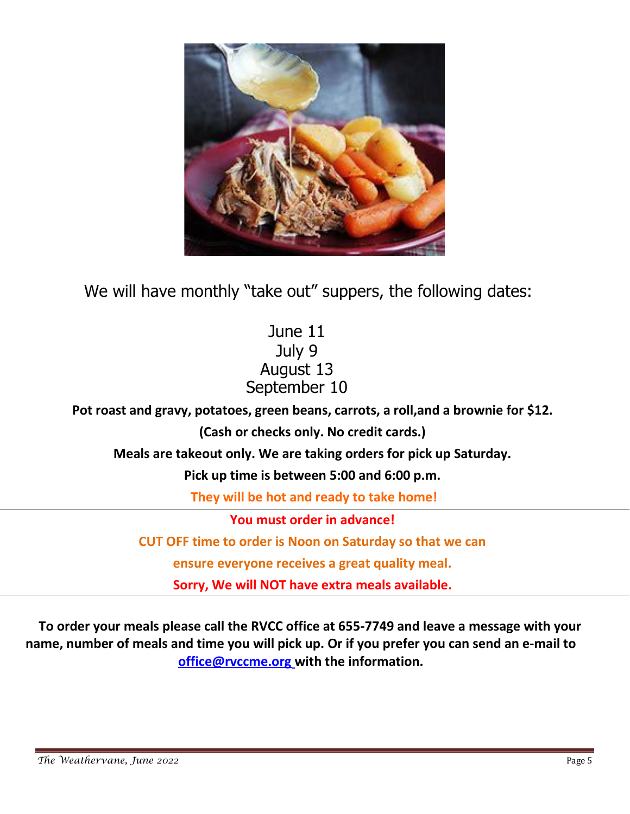

We will have monthly "take out" suppers, the following dates:

# June 11 July 9 August 13 September 10

**Pot roast and gravy, potatoes, green beans, carrots, a roll,and a brownie for \$12.** 

**(Cash or checks only. No credit cards.)**

**Meals are takeout only. We are taking orders for pick up Saturday.** 

**Pick up time is between 5:00 and 6:00 p.m.** 

**They will be hot and ready to take home!**

**You must order in advance!** 

**CUT OFF time to order is Noon on Saturday so that we can** 

**ensure everyone receives a great quality meal.**

**Sorry, We will NOT have extra meals available.**

**To order your meals please call the RVCC office at 655-7749 and leave a message with your name, number of meals and time you will pick up. Or if you prefer you can send an e-mail to [office@rvccme.org](mailto:office@rvccme.org) with the information.**